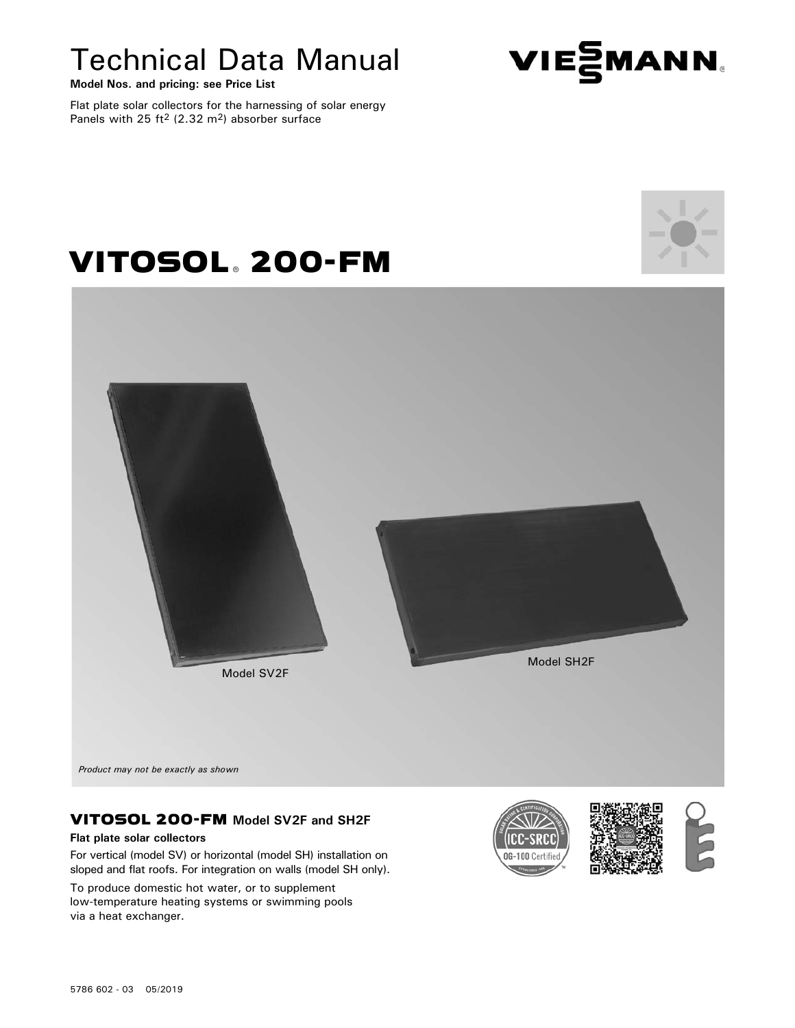# Technical Data Manual

**Model Nos. and pricing: see Price List**

Flat plate solar collectors for the harnessing of solar energy Panels with 25 ft<sup>2</sup> (2.32 m<sup>2</sup>) absorber surface

VITOSOL, 200-FM

#### 5786 602 - 03 05/2019

*Product may not be exactly as shown*

VITOSOL 200-FM **Model SV2F and SH2F Flat plate solar collectors**

For vertical (model SV) or horizontal (model SH) installation on sloped and flat roofs. For integration on walls (model SH only).

To produce domestic hot water, or to supplement low-temperature heating systems or swimming pools via a heat exchanger.

06-100





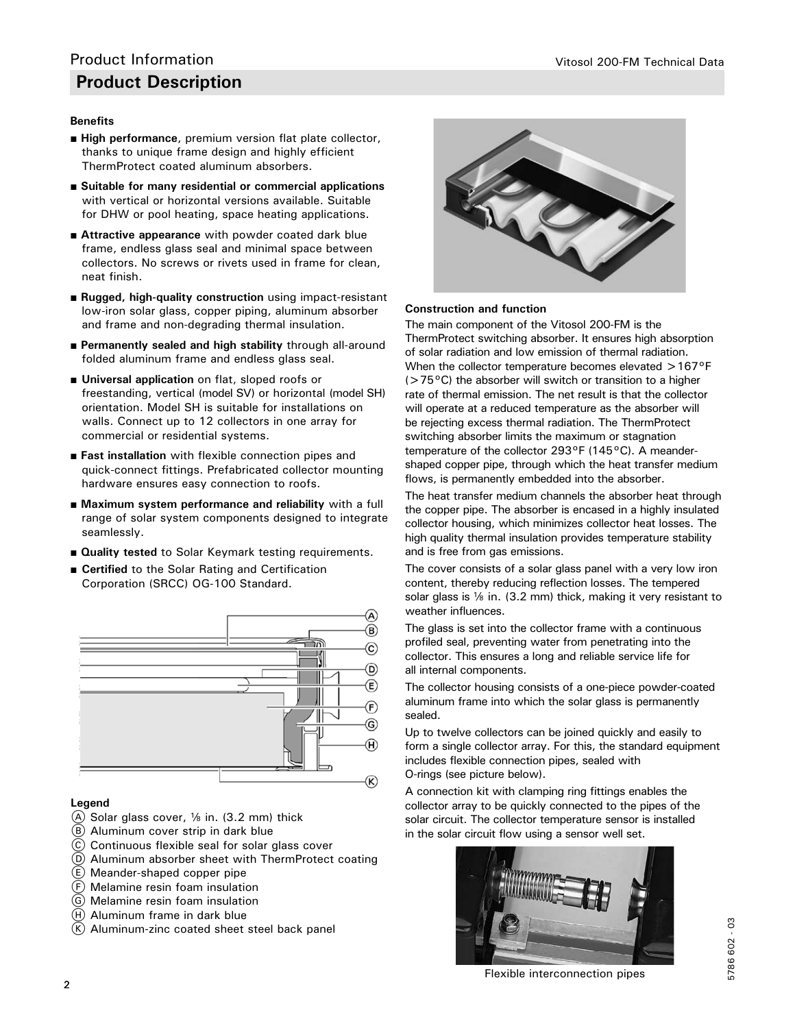#### **Benefits**

- **High performance**, premium version flat plate collector, thanks to unique frame design and highly efficient ThermProtect coated aluminum absorbers.
- Suitable for many residential or commercial applications with vertical or horizontal versions available. Suitable for DHW or pool heating, space heating applications.
- **Attractive appearance** with powder coated dark blue frame, endless glass seal and minimal space between collectors. No screws or rivets used in frame for clean, neat finish.
- **Rugged, high-quality construction** using impact-resistant low-iron solar glass, copper piping, aluminum absorber and frame and non-degrading thermal insulation.
- **Permanently sealed and high stability** through all-around folded aluminum frame and endless glass seal.
- **Universal application** on flat, sloped roofs or freestanding, vertical (model SV) or horizontal (model SH) orientation. Model SH is suitable for installations on walls. Connect up to 12 collectors in one array for commercial or residential systems.
- **Fast installation** with flexible connection pipes and quick-connect fittings. Prefabricated collector mounting hardware ensures easy connection to roofs.
- Maximum system performance and reliability with a full range of solar system components designed to integrate seamlessly.
- **Quality tested** to Solar Keymark testing requirements.
- **Certified** to the Solar Rating and Certification Corporation (SRCC) OG-100 Standard.



#### **Legend**

- $(A)$  Solar glass cover,  $\frac{1}{6}$  in. (3.2 mm) thick
- $(B)$  Aluminum cover strip in dark blue
- C Continuous flexible seal for solar glass cover
- D Aluminum absorber sheet with ThermProtect coating
- $(E)$  Meander-shaped copper pipe
- F Melamine resin foam insulation
- G Melamine resin foam insulation
- $(H)$  Aluminum frame in dark blue
- $(K)$  Aluminum-zinc coated sheet steel back panel



#### **Construction and function**

The main component of the Vitosol 200-FM is the ThermProtect switching absorber. It ensures high absorption of solar radiation and low emission of thermal radiation. When the collector temperature becomes elevated >167°F  $(>75^{\circ}C)$  the absorber will switch or transition to a higher rate of thermal emission. The net result is that the collector will operate at a reduced temperature as the absorber will be rejecting excess thermal radiation. The ThermProtect switching absorber limits the maximum or stagnation temperature of the collector 293°F (145°C). A meandershaped copper pipe, through which the heat transfer medium flows, is permanently embedded into the absorber.

The heat transfer medium channels the absorber heat through the copper pipe. The absorber is encased in a highly insulated collector housing, which minimizes collector heat losses. The high quality thermal insulation provides temperature stability and is free from gas emissions.

The cover consists of a solar glass panel with a very low iron content, thereby reducing reflection losses. The tempered solar glass is  $\frac{1}{8}$  in. (3.2 mm) thick, making it very resistant to weather influences.

The glass is set into the collector frame with a continuous profiled seal, preventing water from penetrating into the collector. This ensures a long and reliable service life for all internal components.

The collector housing consists of a one-piece powder-coated aluminum frame into which the solar glass is permanently sealed.

Up to twelve collectors can be joined quickly and easily to form a single collector array. For this, the standard equipment includes flexible connection pipes, sealed with O-rings (see picture below).

A connection kit with clamping ring fittings enables the collector array to be quickly connected to the pipes of the solar circuit. The collector temperature sensor is installed in the solar circuit flow using a sensor well set.



Flexible interconnection pipes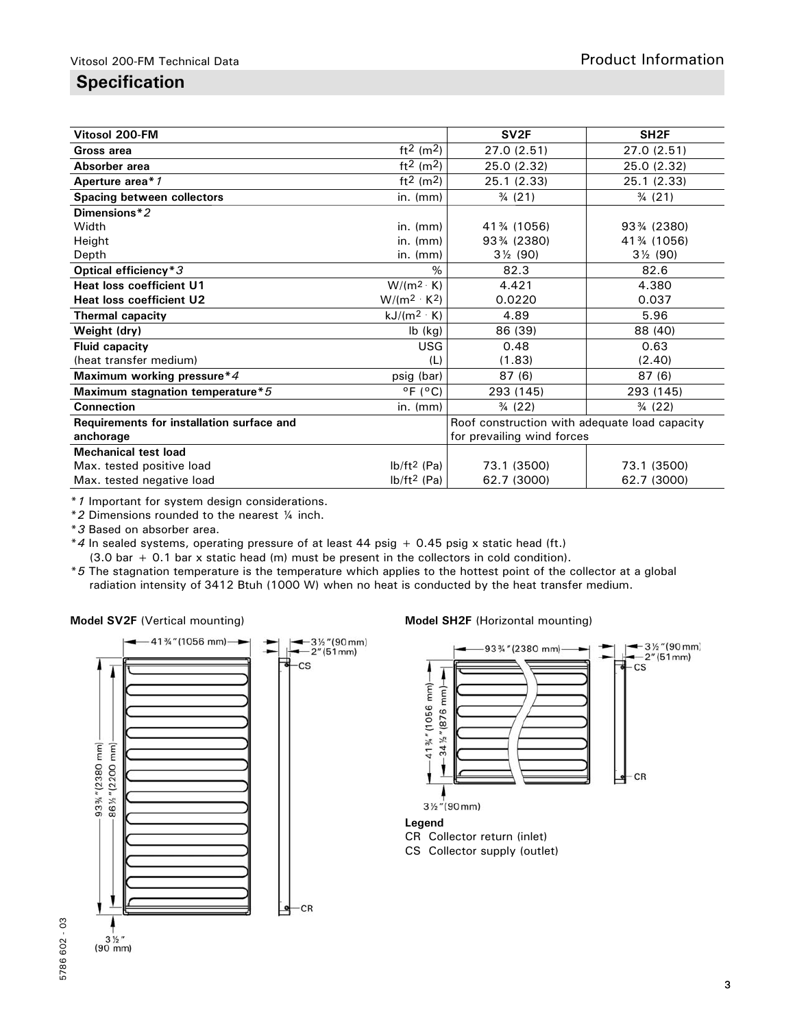### **Specification**

| Vitosol 200-FM                            |                                   | SV <sub>2F</sub>                              | SH <sub>2F</sub>    |
|-------------------------------------------|-----------------------------------|-----------------------------------------------|---------------------|
| Gross area                                | $ft2$ (m <sup>2</sup> )           | 27.0 (2.51)                                   | 27.0 (2.51)         |
| Absorber area                             | ft <sup>2</sup> (m <sup>2</sup> ) | 25.0 (2.32)                                   | 25.0 (2.32)         |
| Aperture area* 1                          | ft <sup>2</sup> (m <sup>2</sup> ) | 25.1 (2.33)                                   | 25.1 (2.33)         |
| Spacing between collectors                | in. $(mm)$                        | $\frac{3}{4}$ (21)                            | $\frac{3}{4}$ (21)  |
| Dimensions*2                              |                                   |                                               |                     |
| Width                                     | $in.$ ( $mm$ )                    | 41% (1056)                                    | 93% (2380)          |
| Height                                    | $in.$ ( $mm$ )                    | 93% (2380)                                    | 41% (1056)          |
| Depth                                     | in. $(mm)$                        | $3\frac{1}{2}$ (90)                           | $3\frac{1}{2}$ (90) |
| Optical efficiency*3                      | $\%$                              | 82.3                                          | 82.6                |
| <b>Heat loss coefficient U1</b>           | $W/(m^2 \cdot K)$                 | 4.421                                         | 4.380               |
| <b>Heat loss coefficient U2</b>           | $W/(m^2 \cdot K^2)$               | 0.0220                                        | 0.037               |
| Thermal capacity                          | $kJ/(m^2 \cdot K)$                | 4.89                                          | 5.96                |
| Weight (dry)                              | lb (kg)                           | 86 (39)                                       | 88 (40)             |
| <b>Fluid capacity</b>                     | <b>USG</b>                        | 0.48                                          | 0.63                |
| (heat transfer medium)                    | (L)                               | (1.83)                                        | (2.40)              |
| Maximum working pressure*4                | psig (bar)                        | 87 (6)                                        | 87 (6)              |
| Maximum stagnation temperature*5          | $^{\circ}$ F ( $^{\circ}$ C)      | 293 (145)                                     | 293 (145)           |
| <b>Connection</b>                         | in. $(mm)$                        | $\frac{3}{4}$ (22)                            | $\frac{3}{4}$ (22)  |
| Requirements for installation surface and |                                   | Roof construction with adequate load capacity |                     |
| anchorage                                 |                                   | for prevailing wind forces                    |                     |
| <b>Mechanical test load</b>               |                                   |                                               |                     |
| Max. tested positive load                 | $lb/ft^2$ (Pa)                    | 73.1 (3500)                                   | 73.1 (3500)         |
| Max. tested negative load                 | $lb/ft^2$ (Pa)                    | 62.7 (3000)                                   | 62.7 (3000)         |

\**1* Important for system design considerations.

\**2* Dimensions rounded to the nearest ¼ inch.

\**3* Based on absorber area.

\**4* In sealed systems, operating pressure of at least 44 psig + 0.45 psig x static head (ft.) (3.0 bar + 0.1 bar x static head (m) must be present in the collectors in cold condition).

\**5* The stagnation temperature is the temperature which applies to the hottest point of the collector at a global radiation intensity of 3412 Btuh (1000 W) when no heat is conducted by the heat transfer medium.



#### **Model SV2F** (Vertical mounting) **Model SH2F** (Horizontal mounting)

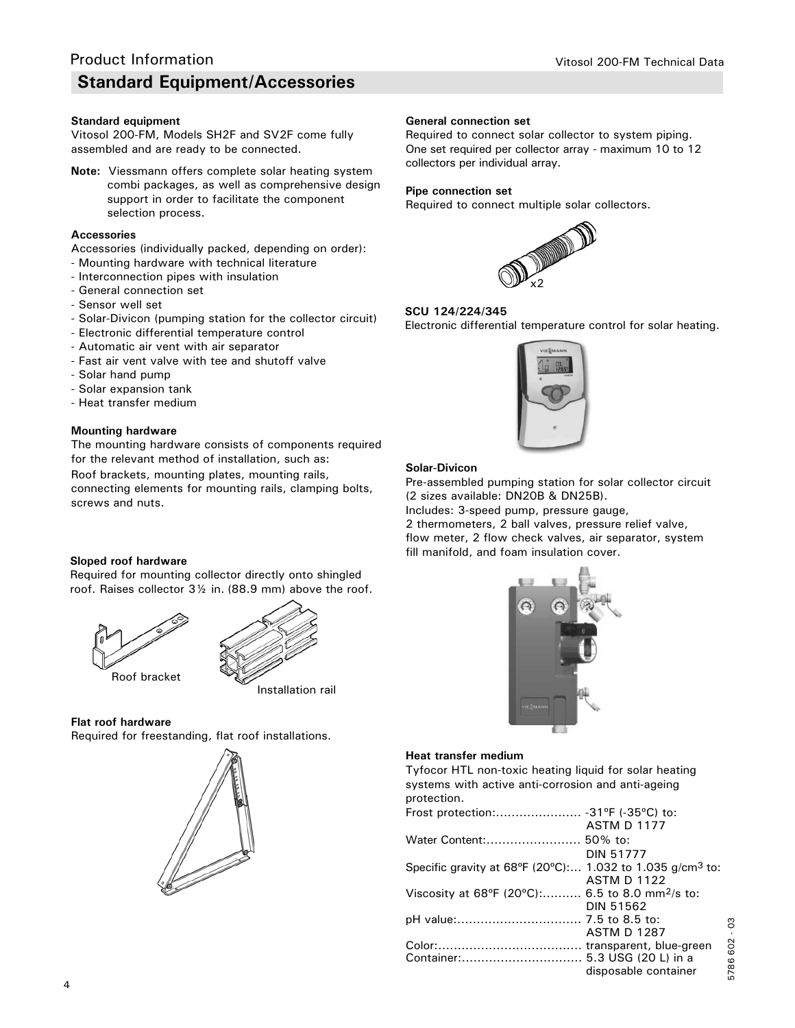#### **Standard equipment**

Vitosol 200-FM, Models SH2F and SV2F come fully assembled and are ready to be connected.

**Note:** Viessmann offers complete solar heating system combi packages, as well as comprehensive design support in order to facilitate the component selection process.

#### **Accessories**

- Accessories (individually packed, depending on order):
- Mounting hardware with technical literature
- Interconnection pipes with insulation
- General connection set
- Sensor well set
- Solar-Divicon (pumping station for the collector circuit)
- Electronic differential temperature control
- Automatic air vent with air separator
- Fast air vent valve with tee and shutoff valve
- Solar hand pump
- Solar expansion tank
- Heat transfer medium

#### **Mounting hardware**

The mounting hardware consists of components required for the relevant method of installation, such as:

Roof brackets, mounting plates, mounting rails,

connecting elements for mounting rails, clamping bolts, screws and nuts.

#### **Sloped roof hardware**

Required for mounting collector directly onto shingled roof. Raises collector 3½ in. (88.9 mm) above the roof.





**Flat roof hardware**

Required for freestanding, flat roof installations.



#### **General connection set**

Required to connect solar collector to system piping. One set required per collector array - maximum 10 to 12 collectors per individual array.

#### **Pipe connection set**

Required to connect multiple solar collectors.



#### **SCU 124/224/345**

Electronic differential temperature control for solar heating.



#### **Solar-Divicon**

Pre-assembled pumping station for solar collector circuit (2 sizes available: DN20B & DN25B).

Includes: 3-speed pump, pressure gauge, 2 thermometers, 2 ball valves, pressure relief valve, flow meter, 2 flow check valves, air separator, system fill manifold, and foam insulation cover.



#### **Heat transfer medium**

Tyfocor HTL non-toxic heating liquid for solar heating systems with active anti-corrosion and anti-ageing protection.

|                                                                       | <b>ASTM D 1177</b>   |     |
|-----------------------------------------------------------------------|----------------------|-----|
|                                                                       |                      |     |
|                                                                       | <b>DIN 51777</b>     |     |
| Specific gravity at 68°F (20°C): 1.032 to 1.035 g/cm <sup>3</sup> to: |                      |     |
|                                                                       | <b>ASTM D 1122</b>   |     |
| Viscosity at 68°F (20°C): 6.5 to 8.0 mm <sup>2</sup> /s to:           |                      |     |
|                                                                       | <b>DIN 51562</b>     |     |
|                                                                       |                      | පි  |
|                                                                       | <b>ASTM D 1287</b>   |     |
|                                                                       |                      | 602 |
|                                                                       |                      | 786 |
|                                                                       | disposable container | Ю   |
|                                                                       |                      |     |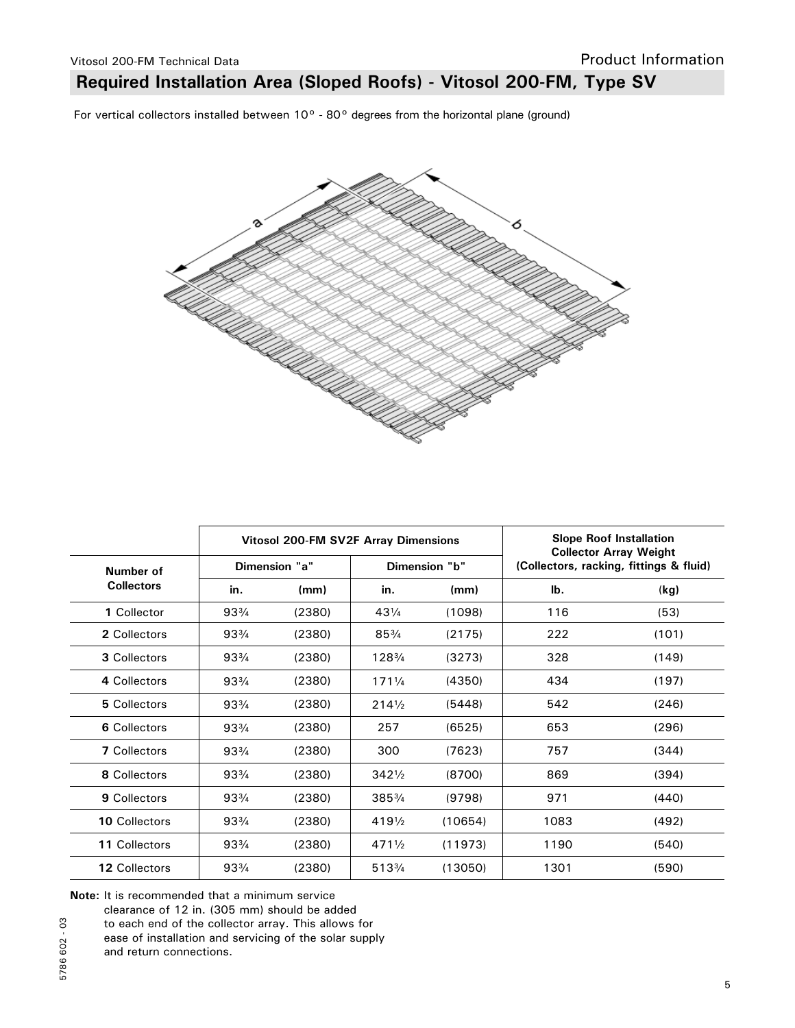### **Required Installation Area (Sloped Roofs) - Vitosol 200-FM, Type SV**

For vertical collectors installed between 10° - 80° degrees from the horizontal plane (ground)



|                     |                 | <b>Vitosol 200-FM SV2F Array Dimensions</b> |                  | <b>Slope Roof Installation</b><br><b>Collector Array Weight</b> |                                         |       |
|---------------------|-----------------|---------------------------------------------|------------------|-----------------------------------------------------------------|-----------------------------------------|-------|
| Number of           |                 | Dimension "a"                               |                  | Dimension "b"                                                   | (Collectors, racking, fittings & fluid) |       |
| <b>Collectors</b>   | in.             | (mm)                                        | in.              | (mm)                                                            | lb.                                     | (kg)  |
| 1 Collector         | $93\frac{3}{4}$ | (2380)                                      | $43\frac{1}{4}$  | (1098)                                                          | 116                                     | (53)  |
| 2 Collectors        | $93\frac{3}{4}$ | (2380)                                      | $85\frac{3}{4}$  | (2175)                                                          | 222                                     | (101) |
| 3 Collectors        | $93\frac{3}{4}$ | (2380)                                      | 1283/4           | (3273)                                                          | 328                                     | (149) |
| 4 Collectors        | $93\frac{3}{4}$ | (2380)                                      | $171\frac{1}{4}$ | (4350)                                                          | 434                                     | (197) |
| 5 Collectors        | $93\frac{3}{4}$ | (2380)                                      | $214\frac{1}{2}$ | (5448)                                                          | 542                                     | (246) |
| 6 Collectors        | $93\frac{3}{4}$ | (2380)                                      | 257              | (6525)                                                          | 653                                     | (296) |
| <b>7</b> Collectors | $93\frac{3}{4}$ | (2380)                                      | 300              | (7623)                                                          | 757                                     | (344) |
| 8 Collectors        | $93\frac{3}{4}$ | (2380)                                      | $342\frac{1}{2}$ | (8700)                                                          | 869                                     | (394) |
| 9 Collectors        | $93\frac{3}{4}$ | (2380)                                      | $385\frac{3}{4}$ | (9798)                                                          | 971                                     | (440) |
| 10 Collectors       | $93\frac{3}{4}$ | (2380)                                      | $419\frac{1}{2}$ | (10654)                                                         | 1083                                    | (492) |
| 11 Collectors       | $93\frac{3}{4}$ | (2380)                                      | $471\frac{1}{2}$ | (11973)                                                         | 1190                                    | (540) |
| 12 Collectors       | $93\frac{3}{4}$ | (2380)                                      | 5133/4           | (13050)                                                         | 1301                                    | (590) |

**Note:** It is recommended that a minimum service

clearance of 12 in. (305 mm) should be added

to each end of the collector array. This allows for

ease of installation and servicing of the solar supply

and return connections.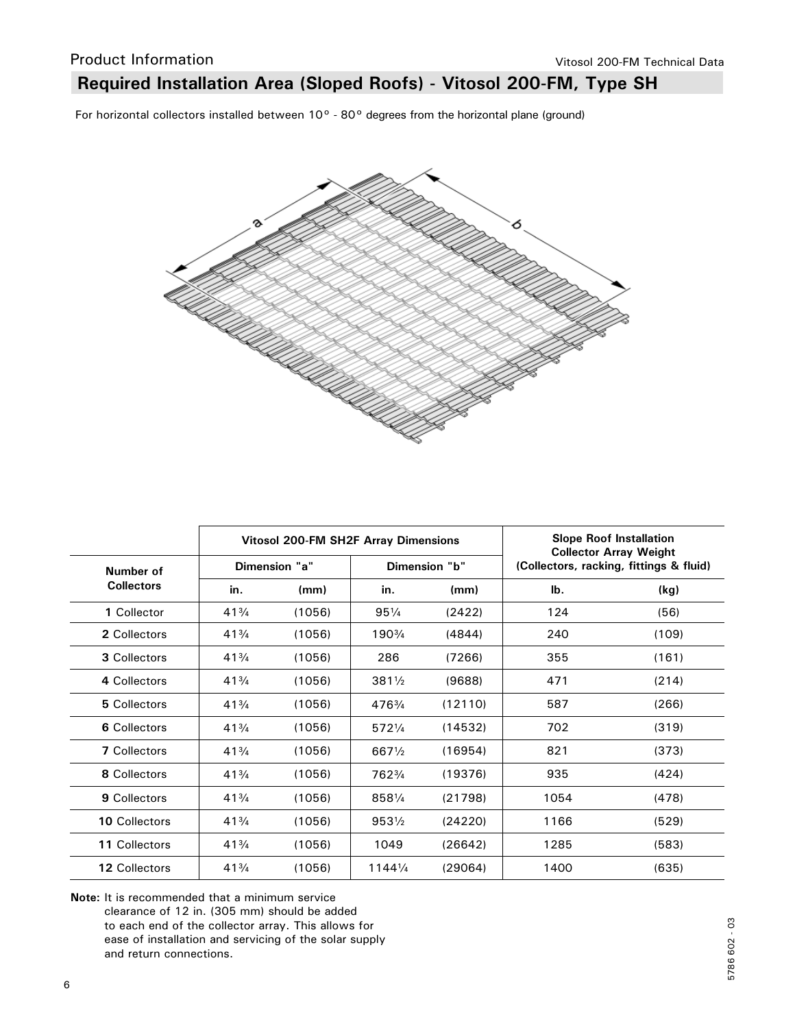### **Required Installation Area (Sloped Roofs) - Vitosol 200-FM, Type SH**

For horizontal collectors installed between 10° - 80° degrees from the horizontal plane (ground)



|                      |                 | <b>Vitosol 200-FM SH2F Array Dimensions</b> |                   | <b>Slope Roof Installation</b><br><b>Collector Array Weight</b> |                                         |       |
|----------------------|-----------------|---------------------------------------------|-------------------|-----------------------------------------------------------------|-----------------------------------------|-------|
| Number of            |                 | Dimension "a"                               |                   | Dimension "b"                                                   | (Collectors, racking, fittings & fluid) |       |
| <b>Collectors</b>    | in.             | (mm)                                        | in.               | (mm)                                                            | lb.                                     | (kg)  |
| 1 Collector          | $41\frac{3}{4}$ | (1056)                                      | $95\frac{1}{4}$   | (2422)                                                          | 124                                     | (56)  |
| 2 Collectors         | $41\frac{3}{4}$ | (1056)                                      | 1903/4            | (4844)                                                          | 240                                     | (109) |
| 3 Collectors         | $41\frac{3}{4}$ | (1056)                                      | 286               | (7266)                                                          | 355                                     | (161) |
| 4 Collectors         | $41\frac{3}{4}$ | (1056)                                      | $381\frac{1}{2}$  | (9688)                                                          | 471                                     | (214) |
| 5 Collectors         | $41\frac{3}{4}$ | (1056)                                      | 4763/4            | (12110)                                                         | 587                                     | (266) |
| 6 Collectors         | $41\frac{3}{4}$ | (1056)                                      | 5721/4            | (14532)                                                         | 702                                     | (319) |
| <b>7</b> Collectors  | $41\frac{3}{4}$ | (1056)                                      | 6671/2            | (16954)                                                         | 821                                     | (373) |
| 8 Collectors         | $41\frac{3}{4}$ | (1056)                                      | 7623/4            | (19376)                                                         | 935                                     | (424) |
| 9 Collectors         | $41\frac{3}{4}$ | (1056)                                      | 8581/4            | (21798)                                                         | 1054                                    | (478) |
| <b>10 Collectors</b> | $41\frac{3}{4}$ | (1056)                                      | $953\frac{1}{2}$  | (24220)                                                         | 1166                                    | (529) |
| 11 Collectors        | $41\frac{3}{4}$ | (1056)                                      | 1049              | (26642)                                                         | 1285                                    | (583) |
| 12 Collectors        | $41\frac{3}{4}$ | (1056)                                      | $1144\frac{1}{4}$ | (29064)                                                         | 1400                                    | (635) |

**Note:** It is recommended that a minimum service clearance of 12 in. (305 mm) should be added to each end of the collector array. This allows for ease of installation and servicing of the solar supply and return connections.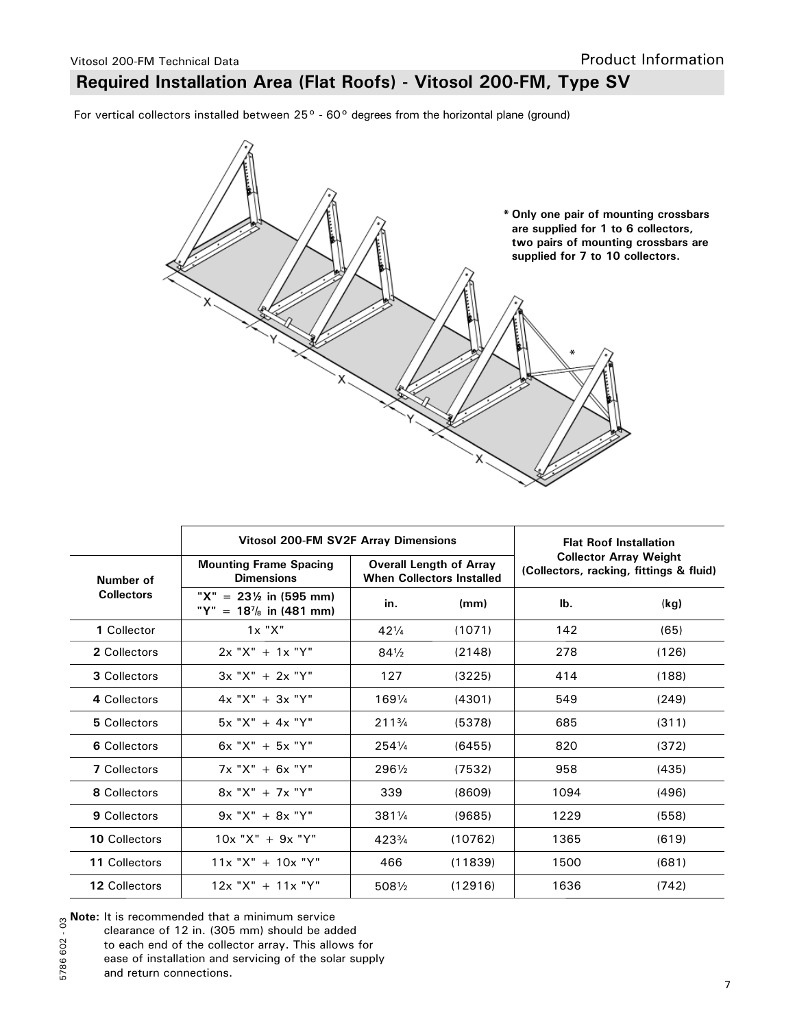## **Required Installation Area (Flat Roofs) - Vitosol 200-FM, Type SV**

For vertical collectors installed between 25° - 60° degrees from the horizontal plane (ground)



|                     | Vitosol 200-FM SV2F Array Dimensions                                | <b>Flat Roof Installation</b> |                                                                    |                                                                          |       |
|---------------------|---------------------------------------------------------------------|-------------------------------|--------------------------------------------------------------------|--------------------------------------------------------------------------|-------|
| Number of           | <b>Mounting Frame Spacing</b><br><b>Dimensions</b>                  |                               | <b>Overall Length of Array</b><br><b>When Collectors Installed</b> | <b>Collector Array Weight</b><br>(Collectors, racking, fittings & fluid) |       |
| <b>Collectors</b>   | " $X'' = 23\frac{1}{2}$ in (595 mm)<br>"Y"<br>$= 187/8$ in (481 mm) | in.<br>(mm)                   |                                                                    | lb.                                                                      | (kg)  |
| 1 Collector         | $1x$ " $X$ "                                                        | $42\frac{1}{4}$               | (1071)                                                             | 142                                                                      | (65)  |
| 2 Collectors        | $2x "X" + 1x "Y"$                                                   | $84\frac{1}{2}$               | (2148)                                                             | 278                                                                      | (126) |
| 3 Collectors        | $3x "X" + 2x "Y"$                                                   | 127                           | (3225)                                                             | 414                                                                      | (188) |
| 4 Collectors        | $4x "X" + 3x "Y"$                                                   | $169\frac{1}{4}$              | (4301)                                                             | 549                                                                      | (249) |
| 5 Collectors        | $5x "X" + 4x "Y"$                                                   | $211\frac{3}{4}$              | (5378)                                                             | 685                                                                      | (311) |
| 6 Collectors        | $6x$ "X" + $5x$ "Y"                                                 | 2541/4                        | (6455)                                                             | 820                                                                      | (372) |
| <b>7 Collectors</b> | $7x "X" + 6x "Y"$                                                   | 2961/2                        | (7532)                                                             | 958                                                                      | (435) |
| 8 Collectors        | $8x "X" + 7x "Y"$                                                   | 339                           | (8609)                                                             | 1094                                                                     | (496) |
| 9 Collectors        | $9x "X" + 8x "Y"$                                                   | 3811/4                        | (9685)                                                             | 1229                                                                     | (558) |
| 10 Collectors       | $10x$ "X" + 9x "Y"                                                  | $423\frac{3}{4}$              | (10762)                                                            | 1365                                                                     | (619) |
| 11 Collectors       | $11x "X" + 10x "Y"$                                                 | 466                           | (11839)                                                            | 1500                                                                     | (681) |
| 12 Collectors       | $12x$ "X" + $11x$ "Y"                                               | $508\frac{1}{2}$              | (12916)                                                            | 1636                                                                     | (742) |

<sup>5786 602 - 03</sup> **Note:** It is recommended that a minimum service

- clearance of 12 in. (305 mm) should be added
- to each end of the collector array. This allows for
	- ease of installation and servicing of the solar supply

and return connections.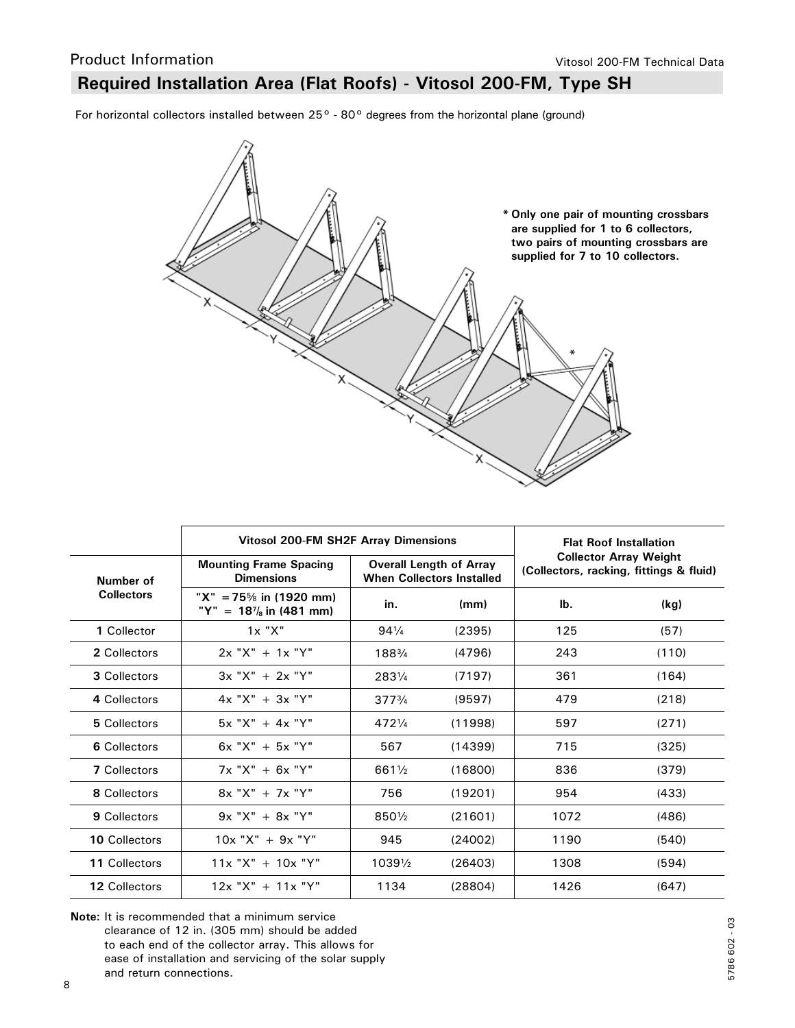### **Required Installation Area (Flat Roofs) - Vitosol 200-FM, Type SH**

For horizontal collectors installed between 25° - 80° degrees from the horizontal plane (ground)



|                     | <b>Vitosol 200-FM SH2F Array Dimensions</b>                      | <b>Flat Roof Installation</b> |                                                                    |                                                                          |       |
|---------------------|------------------------------------------------------------------|-------------------------------|--------------------------------------------------------------------|--------------------------------------------------------------------------|-------|
| Number of           | <b>Mounting Frame Spacing</b><br><b>Dimensions</b>               |                               | <b>Overall Length of Array</b><br><b>When Collectors Installed</b> | <b>Collector Array Weight</b><br>(Collectors, racking, fittings & fluid) |       |
| <b>Collectors</b>   | "X" = 75\% in (1920 mm)<br>"Y" = $18^7$ <sub>s</sub> in (481 mm) | in.                           | (mm)                                                               | lb.                                                                      | (kg)  |
| 1 Collector         | 1x "X"                                                           | $94\frac{1}{4}$               | (2395)                                                             | 125                                                                      | (57)  |
| 2 Collectors        | $2x$ "X" + 1x "Y"                                                | 1883/4                        | (4796)                                                             | 243                                                                      | (110) |
| 3 Collectors        | $3x "X" + 2x "Y"$                                                | 2831/4                        | (7197)                                                             | 361                                                                      | (164) |
| 4 Collectors        | $4x "X" + 3x "Y"$                                                | $377^{3/4}$                   | (9597)                                                             | 479                                                                      | (218) |
| 5 Collectors        | $5x$ "X" + 4x "Y"                                                | 4721/4                        | (11998)                                                            | 597                                                                      | (271) |
| 6 Collectors        | $6x$ "X" + $5x$ "Y"                                              | 567                           | (14399)                                                            | 715                                                                      | (325) |
| <b>7 Collectors</b> | $7x "X" + 6x "Y"$                                                | 6611/2                        | (16800)                                                            | 836                                                                      | (379) |
| 8 Collectors        | $8x "X" + 7x "Y"$                                                | 756                           | (19201)                                                            | 954                                                                      | (433) |
| 9 Collectors        | $9x "X" + 8x "Y"$                                                | 8501/2                        | (21601)                                                            | 1072                                                                     | (486) |
| 10 Collectors       | $10x$ "X" + 9x "Y"                                               | 945                           | (24002)                                                            | 1190                                                                     | (540) |
| 11 Collectors       | $11x "X" + 10x "Y"$                                              | 10391/2                       | (26403)                                                            | 1308                                                                     | (594) |
| 12 Collectors       | $12x$ "X" + $11x$ "Y"                                            | 1134                          | (28804)                                                            | 1426                                                                     | (647) |

**Note:** It is recommended that a minimum service clearance of 12 in. (305 mm) should be added to each end of the collector array. This allows for ease of installation and servicing of the solar supply and return connections.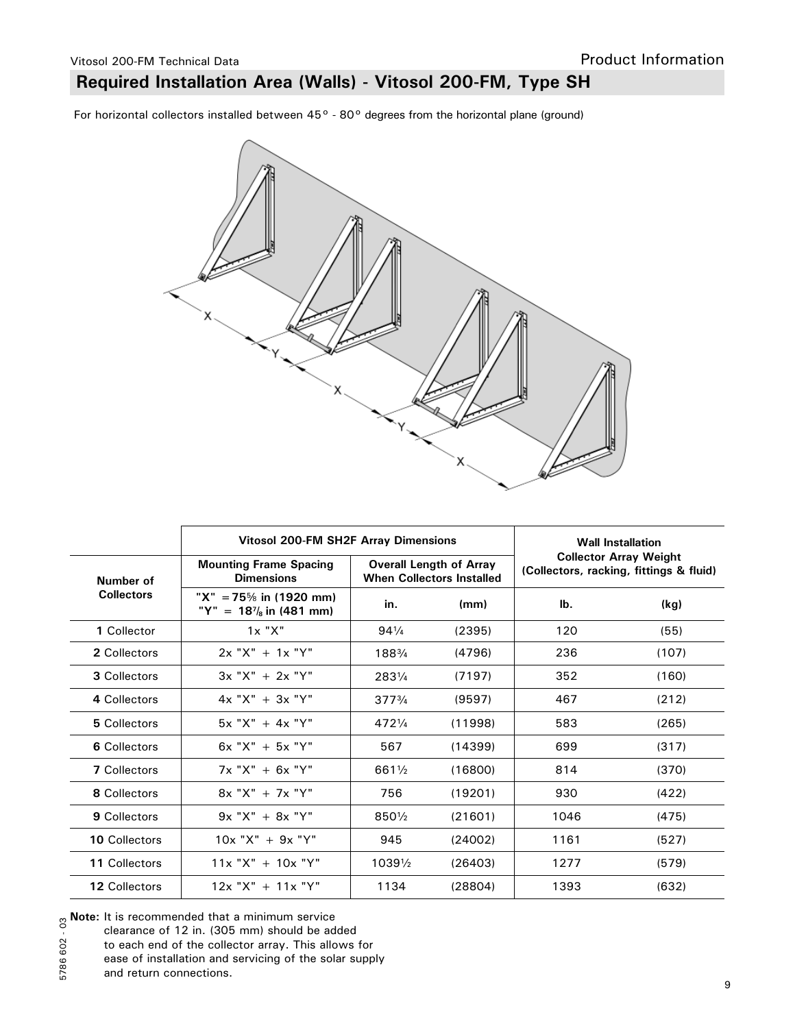## **Required Installation Area (Walls) - Vitosol 200-FM, Type SH**

For horizontal collectors installed between 45° - 80° degrees from the horizontal plane (ground)



|                      | <b>Vitosol 200-FM SH2F Array Dimensions</b>                  | <b>Wall Installation</b> |                                                                    |                                                                          |       |
|----------------------|--------------------------------------------------------------|--------------------------|--------------------------------------------------------------------|--------------------------------------------------------------------------|-------|
| Number of            | <b>Mounting Frame Spacing</b><br><b>Dimensions</b>           |                          | <b>Overall Length of Array</b><br><b>When Collectors Installed</b> | <b>Collector Array Weight</b><br>(Collectors, racking, fittings & fluid) |       |
| <b>Collectors</b>    | "X" = 75\% in (1920 mm)<br>"Y" = $18\frac{7}{8}$ in (481 mm) | in.                      | (mm)                                                               | lb.                                                                      | (kg)  |
| 1 Collector          | 1x "X"                                                       | $94\frac{1}{4}$          | (2395)                                                             | 120                                                                      | (55)  |
| 2 Collectors         | $2x "X" + 1x "Y"$                                            | 1883/4                   | (4796)                                                             | 236                                                                      | (107) |
| 3 Collectors         | $3x "X" + 2x "Y"$                                            | 2831/4                   | (7197)                                                             | 352                                                                      | (160) |
| 4 Collectors         | $4x "X" + 3x "Y"$                                            | $377^{3/4}$              | (9597)                                                             | 467                                                                      | (212) |
| 5 Collectors         | $5x$ "X" + 4x "Y"                                            | 4721/4                   | (11998)                                                            | 583                                                                      | (265) |
| 6 Collectors         | $6x$ "X" + $5x$ "Y"                                          | 567                      | (14399)                                                            | 699                                                                      | (317) |
| <b>7</b> Collectors  | $7x "X" + 6x "Y"$                                            | 6611/2                   | (16800)                                                            | 814                                                                      | (370) |
| 8 Collectors         | $8x "X" + 7x "Y"$                                            | 756                      | (19201)                                                            | 930                                                                      | (422) |
| 9 Collectors         | $9x "X" + 8x "Y"$                                            | 8501/2                   | (21601)                                                            | 1046                                                                     | (475) |
| <b>10 Collectors</b> | $10x$ "X" + 9x "Y"                                           | 945                      | (24002)                                                            | 1161                                                                     | (527) |
| 11 Collectors        | $11x "X" + 10x "Y"$                                          | 10391/2                  | (26403)                                                            | 1277                                                                     | (579) |
| 12 Collectors        | $12x$ "X" + $11x$ "Y"                                        | 1134                     | (28804)                                                            | 1393                                                                     | (632) |

<sup>5786 602 - 03</sup> **Note:** It is recommended that a minimum service

to each end of the collector array. This allows for

and return connections.

clearance of 12 in. (305 mm) should be added

ease of installation and servicing of the solar supply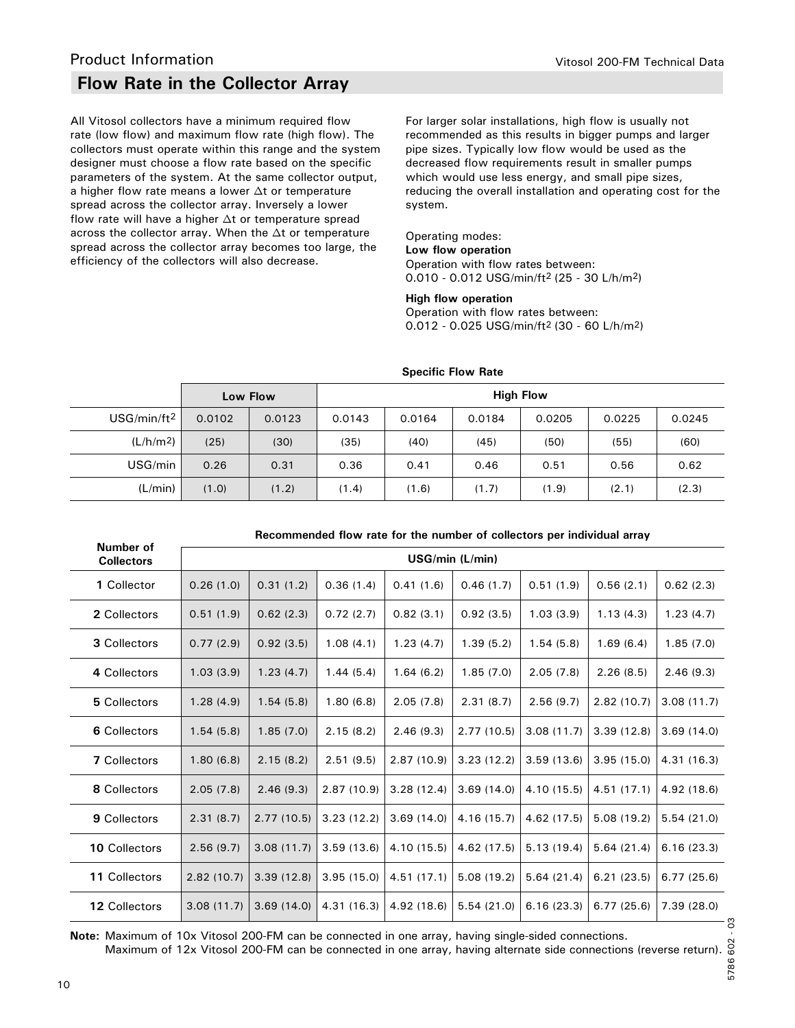### **Flow Rate in the Collector Array**

All Vitosol collectors have a minimum required flow rate (low flow) and maximum flow rate (high flow). The collectors must operate within this range and the system designer must choose a flow rate based on the specific parameters of the system. At the same collector output, a higher flow rate means a lower  $\Delta t$  or temperature spread across the collector array. Inversely a lower flow rate will have a higher  $\Delta t$  or temperature spread across the collector array. When the  $\Delta t$  or temperature spread across the collector array becomes too large, the efficiency of the collectors will also decrease.

For larger solar installations, high flow is usually not recommended as this results in bigger pumps and larger pipe sizes. Typically low flow would be used as the decreased flow requirements result in smaller pumps which would use less energy, and small pipe sizes, reducing the overall installation and operating cost for the system.

#### Operating modes: **Low flow operation** Operation with flow rates between:

0.010 - 0.012 USG/min/ft2 (25 - 30 L/h/m2)

#### **High flow operation**

Operation with flow rates between: 0.012 - 0.025 USG/min/ft2 (30 - 60 L/h/m2)

|                       |        | Low Flow | <b>High Flow</b> |        |        |        |        |        |
|-----------------------|--------|----------|------------------|--------|--------|--------|--------|--------|
| $USG/min/ft^2$        | 0.0102 | 0.0123   | 0.0143           | 0.0164 | 0.0184 | 0.0205 | 0.0225 | 0.0245 |
| (L/h/m <sup>2</sup> ) | (25)   | (30)     | (35)             | (40)   | (45)   | (50)   | (55)   | (60)   |
| USG/min               | 0.26   | 0.31     | 0.36             | 0.41   | 0.46   | 0.51   | 0.56   | 0.62   |
| (L/min)               | (1.0)  | (1.2)    | (1.4)            | (1.6)  | (1.7)  | (1.9)  | (2.1)  | (2.3)  |

#### **Specific Flow Rate**

#### **Recommended flow rate for the number of collectors per individual array**

| Number of<br><b>Collectors</b> |            |            |             |             | USG/min (L/min) |             |            |             |
|--------------------------------|------------|------------|-------------|-------------|-----------------|-------------|------------|-------------|
| 1 Collector                    | 0.26(1.0)  | 0.31(1.2)  | 0.36(1.4)   | 0.41(1.6)   | 0.46(1.7)       | 0.51(1.9)   | 0.56(2.1)  | 0.62(2.3)   |
| 2 Collectors                   | 0.51(1.9)  | 0.62(2.3)  | 0.72(2.7)   | 0.82(3.1)   | 0.92(3.5)       | 1.03(3.9)   | 1.13(4.3)  | 1.23(4.7)   |
| 3 Collectors                   | 0.77(2.9)  | 0.92(3.5)  | 1.08(4.1)   | 1.23(4.7)   | 1.39(5.2)       | 1.54(5.8)   | 1.69(6.4)  | 1.85(7.0)   |
| 4 Collectors                   | 1.03(3.9)  | 1.23(4.7)  | 1.44(5.4)   | 1.64(6.2)   | 1.85(7.0)       | 2.05(7.8)   | 2.26(8.5)  | 2.46(9.3)   |
| 5 Collectors                   | 1.28(4.9)  | 1.54(5.8)  | 1.80(6.8)   | 2.05(7.8)   | 2.31(8.7)       | 2.56(9.7)   | 2.82(10.7) | 3.08(11.7)  |
| 6 Collectors                   | 1.54(5.8)  | 1.85(7.0)  | 2.15(8.2)   | 2.46(9.3)   | 2.77(10.5)      | 3.08(11.7)  | 3.39(12.8) | 3.69(14.0)  |
| <b>7 Collectors</b>            | 1.80(6.8)  | 2.15(8.2)  | 2.51(9.5)   | 2.87(10.9)  | 3.23(12.2)      | 3.59(13.6)  | 3.95(15.0) | 4.31 (16.3) |
| 8 Collectors                   | 2.05(7.8)  | 2.46(9.3)  | 2.87(10.9)  | 3.28(12.4)  | 3.69(14.0)      | 4.10 (15.5) | 4.51(17.1) | 4.92 (18.6) |
| 9 Collectors                   | 2.31(8.7)  | 2.77(10.5) | 3.23(12.2)  | 3.69(14.0)  | 4.16 (15.7)     | 4.62 (17.5) | 5.08(19.2) | 5.54(21.0)  |
| <b>10 Collectors</b>           | 2.56(9.7)  | 3.08(11.7) | 3.59(13.6)  | 4.10 (15.5) | 4.62 (17.5)     | 5.13(19.4)  | 5.64(21.4) | 6.16(23.3)  |
| 11 Collectors                  | 2.82(10.7) | 3.39(12.8) | 3.95(15.0)  | 4.51(17.1)  | 5.08(19.2)      | 5.64(21.4)  | 6.21(23.5) | 6.77(25.6)  |
| 12 Collectors                  | 3.08(11.7) | 3.69(14.0) | 4.31 (16.3) | 4.92 (18.6) | 5.54(21.0)      | 6.16(23.3)  | 6.77(25.6) | 7.39(28.0)  |

**Note:** Maximum of 10x Vitosol 200-FM can be connected in one array, having single-sided connections. Maximum of 12x Vitosol 200-FM can be connected in one array, having alternate side connections (reverse return).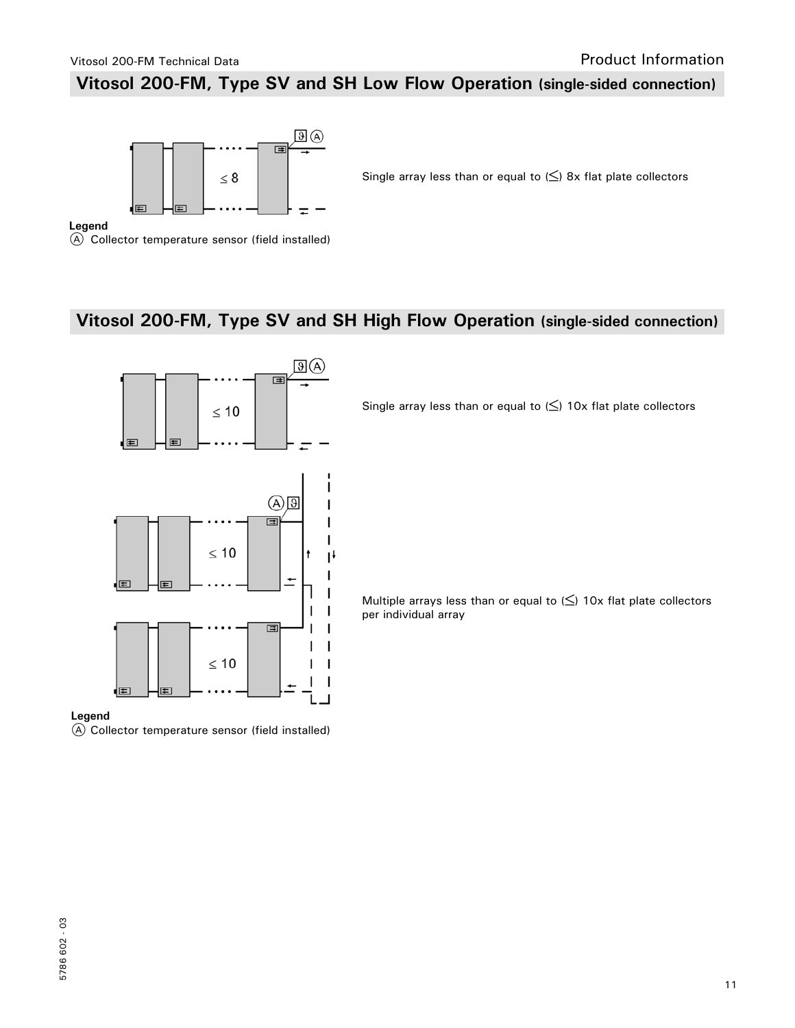### **Vitosol 200-FM, Type SV and SH Low Flow Operation (single-sided connection)**



Single array less than or equal to  $(\le)$  8x flat plate collectors

#### **Legend**

A Collector temperature sensor (field installed)

### **Vitosol 200-FM, Type SV and SH High Flow Operation (single-sided connection)**



Single array less than or equal to  $(\le)$  10x flat plate collectors

Multiple arrays less than or equal to  $(\le)$  10x flat plate collectors per individual array

### **Legend**

A Collector temperature sensor (field installed)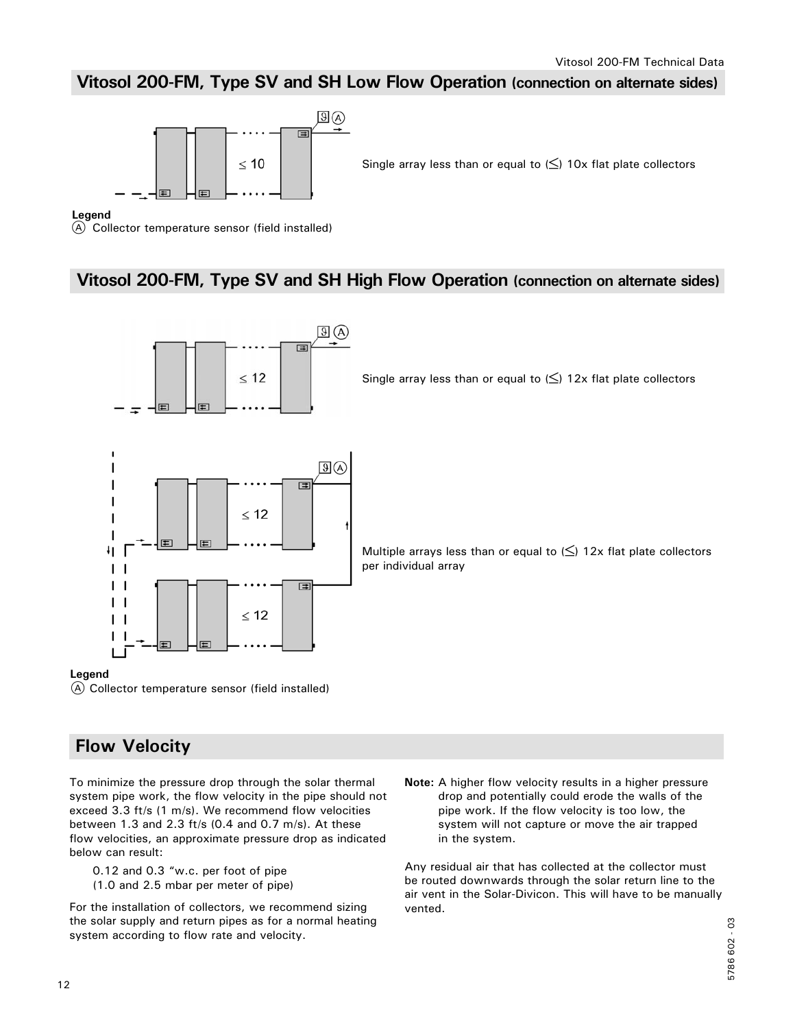### **Vitosol 200-FM, Type SV and SH Low Flow Operation (connection on alternate sides)**



Single array less than or equal to  $(\le)$  10x flat plate collectors

#### **Legend**

A Collector temperature sensor (field installed)

### **Vitosol 200-FM, Type SV and SH High Flow Operation (connection on alternate sides)**



Single array less than or equal to  $(\le)$  12x flat plate collectors



Multiple arrays less than or equal to  $(\le)$  12x flat plate collectors per individual array

#### **Legend**

A Collector temperature sensor (field installed)

### **Flow Velocity**

To minimize the pressure drop through the solar thermal system pipe work, the flow velocity in the pipe should not exceed 3.3 ft/s (1 m/s). We recommend flow velocities between 1.3 and 2.3 ft/s (0.4 and 0.7 m/s). At these flow velocities, an approximate pressure drop as indicated below can result:

 0.12 and 0.3 "w.c. per foot of pipe (1.0 and 2.5 mbar per meter of pipe)

For the installation of collectors, we recommend sizing the solar supply and return pipes as for a normal heating system according to flow rate and velocity.

**Note:** A higher flow velocity results in a higher pressure drop and potentially could erode the walls of the pipe work. If the flow velocity is too low, the system will not capture or move the air trapped in the system.

Any residual air that has collected at the collector must be routed downwards through the solar return line to the air vent in the Solar-Divicon. This will have to be manually vented.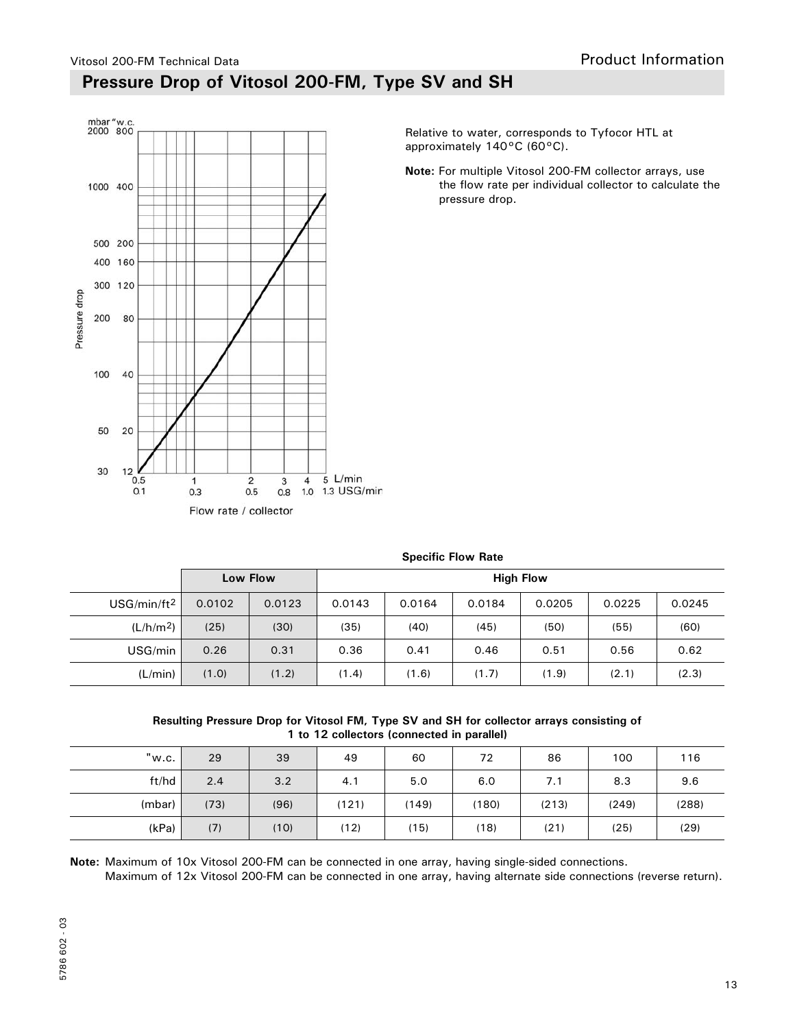### Vitosol 200-FM Technical Data **Pressure Drop of Vitosol 200-FM, Type SV and SH**



Relative to water, corresponds to Tyfocor HTL at approximately 140°C (60°C).

**Note:** For multiple Vitosol 200-FM collector arrays, use the flow rate per individual collector to calculate the pressure drop.

|                         | $-1$   |          |                  |        |        |        |        |        |
|-------------------------|--------|----------|------------------|--------|--------|--------|--------|--------|
|                         |        | Low Flow | <b>High Flow</b> |        |        |        |        |        |
| USG/min/ft <sup>2</sup> | 0.0102 | 0.0123   | 0.0143           | 0.0164 | 0.0184 | 0.0205 | 0.0225 | 0.0245 |
| (L/h/m <sup>2</sup> )   | (25)   | (30)     | (35)             | (40)   | (45)   | (50)   | (55)   | (60)   |
| USG/min                 | 0.26   | 0.31     | 0.36             | 0.41   | 0.46   | 0.51   | 0.56   | 0.62   |
| (L/min)                 | (1.0)  | (1.2)    | (1.4)            | (1.6)  | (1.7)  | (1.9)  | (2.1)  | (2.3)  |

### **Specific Flow Rate**

**Resulting Pressure Drop for Vitosol FM, Type SV and SH for collector arrays consisting of 1 to 12 collectors (connected in parallel)**

| "w.c.  | 29   | 39   | 49    | 60    | 72    | 86    | 100   | 116   |
|--------|------|------|-------|-------|-------|-------|-------|-------|
| ft/hd  | 2.4  | 3.2  | 4.1   | 5.0   | 6.0   | 7.1   | 8.3   | 9.6   |
| (mbar) | (73) | (96) | (121) | (149) | (180) | (213) | (249) | (288) |
| (kPa)  | (7)  | (10) | (12)  | (15)  | (18)  | (21)  | (25)  | (29)  |

**Note:** Maximum of 10x Vitosol 200-FM can be connected in one array, having single-sided connections.

Maximum of 12x Vitosol 200-FM can be connected in one array, having alternate side connections (reverse return).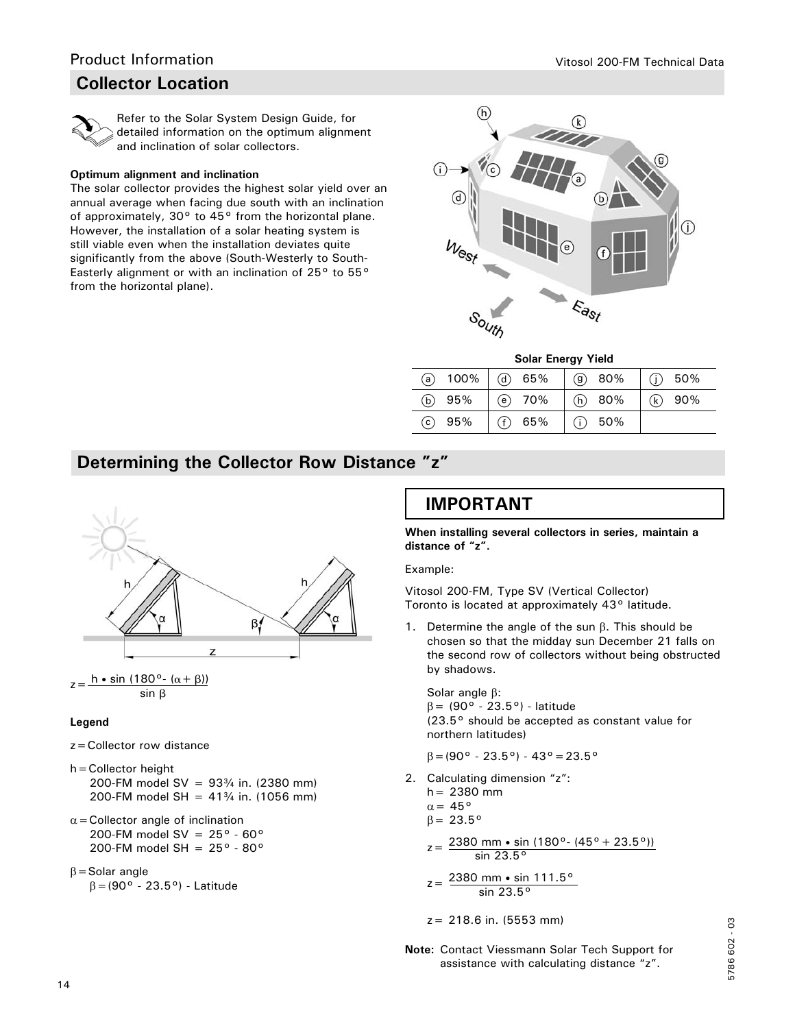### **Collector Location**



 Refer to the Solar System Design Guide, for detailed information on the optimum alignment and inclination of solar collectors.

#### **Optimum alignment and inclination**

The solar collector provides the highest solar yield over an annual average when facing due south with an inclination of approximately, 30° to 45° from the horizontal plane. However, the installation of a solar heating system is still viable even when the installation deviates quite significantly from the above (South-Westerly to South-Easterly alignment or with an inclination of 25° to 55° from the horizontal plane).



**Solar Energy Yield**

| (a) $100\%$              | $(d)$ 65% | $(9)$ 80% | $(i)$ 50% |
|--------------------------|-----------|-----------|-----------|
| (b) $95%$                | $(e)$ 70% | (h) 80%   | $(k)$ 90% |
| 95%<br>$\left( c\right)$ | $(f)$ 65% | $(i)$ 50% |           |

### **Determining the Collector Row Distance "z"**



 $z = \frac{h \cdot \sin (180^\circ - (\alpha + \beta))}{h}$ sin β

#### **Legend**

- z=Collector row distance
- h=Collector height 200-FM model SV =  $93\frac{3}{4}$  in. (2380 mm) 200-FM model SH =  $41\frac{3}{4}$  in. (1056 mm)
- $\alpha$  = Collector angle of inclination 200-FM model SV =  $25^{\circ}$  -  $60^{\circ}$ 200-FM model SH =  $25^{\circ}$  - 80 $^{\circ}$
- $\beta$  = Solar angle

 $\beta = (90^{\circ} - 23.5^{\circ})$  - Latitude

### **IMPORTANT**

**When installing several collectors in series, maintain a distance of "z".**

Example:

Vitosol 200-FM, Type SV (Vertical Collector) Toronto is located at approximately 43° latitude.

1. Determine the angle of the sun  $\beta$ . This should be chosen so that the midday sun December 21 falls on the second row of collectors without being obstructed by shadows.

Solar angle  $\beta$ :  $\beta$  = (90° - 23.5°) - latitude (23.5° should be accepted as constant value for northern latitudes)

$$
\beta = (90^{\circ} - 23.5^{\circ}) - 43^{\circ} = 23.5^{\circ}
$$

2. Calculating dimension "z":

 $h = 2380$  mm  $\alpha = 45^\circ$  $\beta = 23.5^{\circ}$ 

- $z=\frac{2380 \text{ mm} \cdot \text{sin} (180^\circ \cdot (45^\circ + 23.5^\circ))}{2}$  $\overline{\sin 23.5^\circ}$
- $z = \frac{2380 \text{ mm} \cdot \text{sin}}{111.5^\circ}$  $\overline{\sin 23.5^\circ}$
- z= 218.6 in. (5553 mm)
- **Note:** Contact Viessmann Solar Tech Support for assistance with calculating distance "z".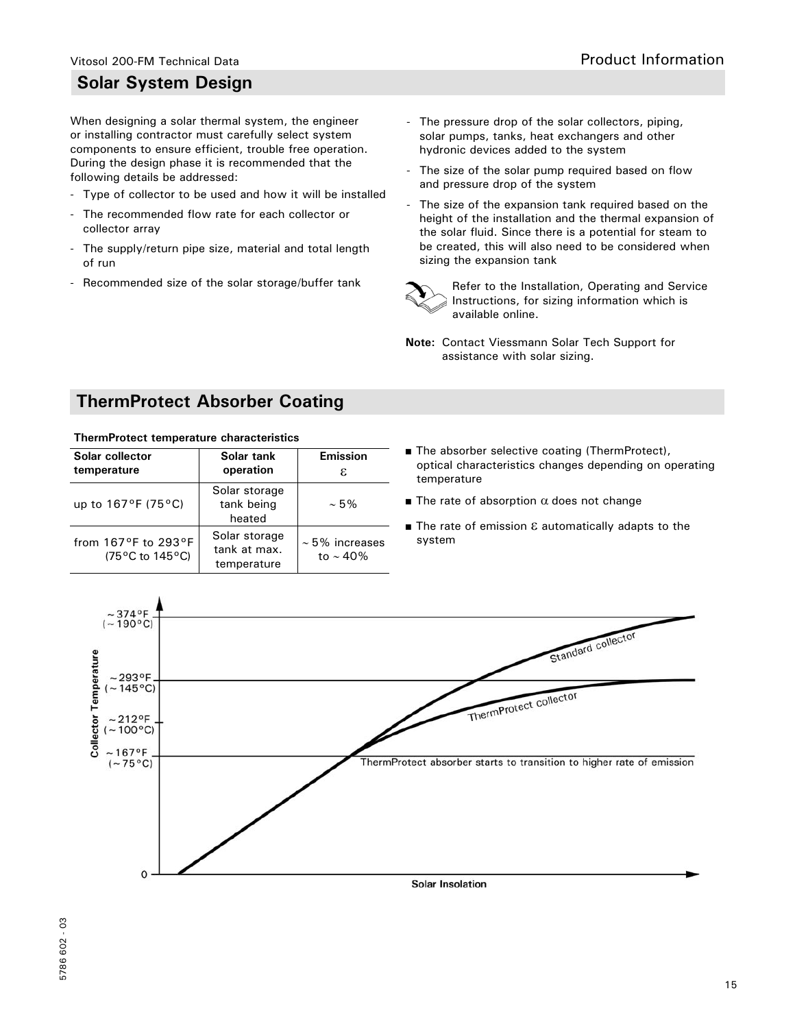### **Solar System Design**

When designing a solar thermal system, the engineer or installing contractor must carefully select system components to ensure efficient, trouble free operation. During the design phase it is recommended that the following details be addressed:

- Type of collector to be used and how it will be installed
- The recommended flow rate for each collector or collector array
- The supply/return pipe size, material and total length of run
- Recommended size of the solar storage/buffer tank
- The pressure drop of the solar collectors, piping, solar pumps, tanks, heat exchangers and other hydronic devices added to the system
- The size of the solar pump required based on flow and pressure drop of the system
- The size of the expansion tank required based on the height of the installation and the thermal expansion of the solar fluid. Since there is a potential for steam to be created, this will also need to be considered when sizing the expansion tank



 Refer to the Installation, Operating and Service Instructions, for sizing information which is available online.

**Note:** Contact Viessmann Solar Tech Support for assistance with solar sizing.

### **ThermProtect Absorber Coating**

#### **ThermProtect temperature characteristics**

| Solar collector<br>temperature                             | Solar tank<br>operation                      | <b>Emission</b><br>ε.                |
|------------------------------------------------------------|----------------------------------------------|--------------------------------------|
| up to $167^{\circ}F(75^{\circ}C)$                          | Solar storage<br>tank being<br>heated        | $~1.5\%$                             |
| from $167^{\circ}$ F to $293^{\circ}$ F<br>(75°C to 145°C) | Solar storage<br>tank at max.<br>temperature | $\sim$ 5% increases<br>to $\sim$ 40% |

- The absorber selective coating (ThermProtect), optical characteristics changes depending on operating temperature
- The rate of absorption  $\alpha$  does not change
- The rate of emission  $\varepsilon$  automatically adapts to the system